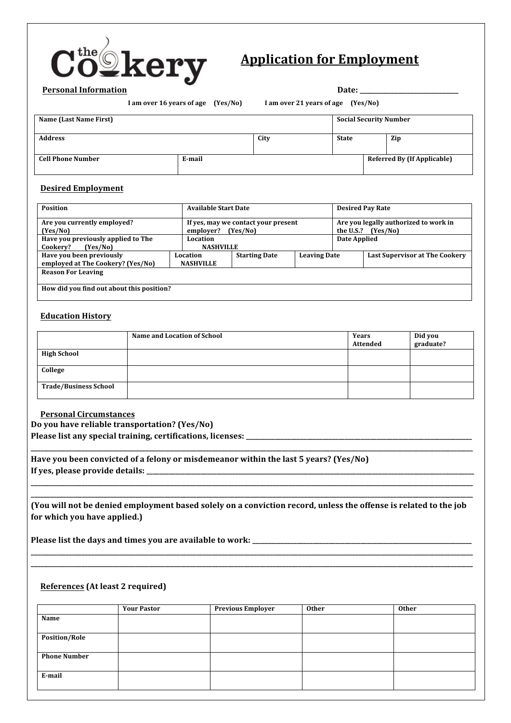

# **Application for Employment**

**I** am over 16 years of age (Yes/No) I am over 21 years of age (Yes/No)

| Dale.<br>$\sim$ |  |
|-----------------|--|
|                 |  |

| Name (Last Name First)   |        |      | <b>Social Security Number</b> |  |                                    |
|--------------------------|--------|------|-------------------------------|--|------------------------------------|
| <b>Address</b>           |        | City | <b>State</b>                  |  | Zip                                |
| <b>Cell Phone Number</b> | E-mail |      |                               |  | <b>Referred By (If Applicable)</b> |

### **Desired Employment**

| <b>Position</b>                                               | <b>Available Start Date</b>  |                                                 |                     |              | <b>Desired Pay Rate</b>                           |
|---------------------------------------------------------------|------------------------------|-------------------------------------------------|---------------------|--------------|---------------------------------------------------|
| Are you currently employed?<br>(Yes/No)                       | employer?                    | If yes, may we contact your present<br>(Yes/No) |                     | the U.S.?    | Are you legally authorized to work in<br>(Yes/No) |
| Have you previously applied to The<br>Cookery?<br>(Yes/No)    | Location<br><b>NASHVILLE</b> |                                                 |                     | Date Applied |                                                   |
| Have you been previously<br>employed at The Cookery? (Yes/No) | Location<br><b>NASHVILLE</b> | <b>Starting Date</b>                            | <b>Leaving Date</b> |              | <b>Last Supervisor at The Cookery</b>             |
| <b>Reason For Leaving</b>                                     |                              |                                                 |                     |              |                                                   |
| How did you find out about this position?                     |                              |                                                 |                     |              |                                                   |

## **Education History**

|                              | <b>Name and Location of School</b> | Years<br>Attended | Did you<br>graduate? |
|------------------------------|------------------------------------|-------------------|----------------------|
| <b>High School</b>           |                                    |                   |                      |
| College                      |                                    |                   |                      |
| <b>Trade/Business School</b> |                                    |                   |                      |

#### **Personal Circumstances**

**Do you have reliable transportation? (Yes/No)**

**Please list any special training, certifications, licenses: \_\_\_\_\_\_\_\_\_\_\_\_\_\_\_\_\_\_\_\_\_\_\_\_\_\_\_\_\_\_\_\_\_\_\_\_\_\_\_\_\_\_\_\_\_\_\_\_\_\_\_\_\_\_\_\_\_\_\_\_\_\_\_\_\_\_\_\_\_\_\_**

Have you been convicted of a felony or misdemeanor within the last 5 years? (Yes/No) **If yes, please provide details: \_\_\_\_\_\_\_\_\_\_\_\_\_\_\_\_\_\_\_\_\_\_\_\_\_\_\_\_\_\_\_\_\_\_\_\_\_\_\_\_\_\_\_\_\_\_\_\_\_\_\_\_\_\_\_\_\_\_\_\_\_\_\_\_\_\_\_\_\_\_\_\_\_\_\_\_\_\_\_\_\_\_\_\_\_\_\_\_\_\_\_\_\_\_\_\_\_\_\_\_\_\_\_**

**\_\_\_\_\_\_\_\_\_\_\_\_\_\_\_\_\_\_\_\_\_\_\_\_\_\_\_\_\_\_\_\_\_\_\_\_\_\_\_\_\_\_\_\_\_\_\_\_\_\_\_\_\_\_\_\_\_\_\_\_\_\_\_\_\_\_\_\_\_\_\_\_\_\_\_\_\_\_\_\_\_\_\_\_\_\_\_\_\_\_\_\_\_\_\_\_\_\_\_\_\_\_\_\_\_\_\_\_\_\_\_\_\_\_\_\_\_\_\_\_\_\_\_\_\_\_\_\_\_\_\_\_\_\_\_\_\_\_\_ (You** will not be denied employment based solely on a conviction record, unless the offense is related to the job for which you have applied.)

**\_\_\_\_\_\_\_\_\_\_\_\_\_\_\_\_\_\_\_\_\_\_\_\_\_\_\_\_\_\_\_\_\_\_\_\_\_\_\_\_\_\_\_\_\_\_\_\_\_\_\_\_\_\_\_\_\_\_\_\_\_\_\_\_\_\_\_\_\_\_\_\_\_\_\_\_\_\_\_\_\_\_\_\_\_\_\_\_\_\_\_\_\_\_\_\_\_\_\_\_\_\_\_\_\_\_\_\_\_\_\_\_\_\_\_\_\_\_\_\_\_\_\_\_\_\_\_\_\_\_\_\_\_\_\_\_\_\_\_ \_\_\_\_\_\_\_\_\_\_\_\_\_\_\_\_\_\_\_\_\_\_\_\_\_\_\_\_\_\_\_\_\_\_\_\_\_\_\_\_\_\_\_\_\_\_\_\_\_\_\_\_\_\_\_\_\_\_\_\_\_\_\_\_\_\_\_\_\_\_\_\_\_\_\_\_\_\_\_\_\_\_\_\_\_\_\_\_\_\_\_\_\_\_\_\_\_\_\_\_\_\_\_\_\_\_\_\_\_\_\_\_\_\_\_\_\_\_\_\_\_\_\_\_\_\_\_\_\_\_\_\_\_\_\_\_\_\_\_**

**\_\_\_\_\_\_\_\_\_\_\_\_\_\_\_\_\_\_\_\_\_\_\_\_\_\_\_\_\_\_\_\_\_\_\_\_\_\_\_\_\_\_\_\_\_\_\_\_\_\_\_\_\_\_\_\_\_\_\_\_\_\_\_\_\_\_\_\_\_\_\_\_\_\_\_\_\_\_\_\_\_\_\_\_\_\_\_\_\_\_\_\_\_\_\_\_\_\_\_\_\_\_\_\_\_\_\_\_\_\_\_\_\_\_\_\_\_\_\_\_\_\_\_\_\_\_\_\_\_\_\_\_\_\_\_\_\_\_\_**

**\_\_\_\_\_\_\_\_\_\_\_\_\_\_\_\_\_\_\_\_\_\_\_\_\_\_\_\_\_\_\_\_\_\_\_\_\_\_\_\_\_\_\_\_\_\_\_\_\_\_\_\_\_\_\_\_\_\_\_\_\_\_\_\_\_\_\_\_\_\_\_\_\_\_\_\_\_\_\_\_\_\_\_\_\_\_\_\_\_\_\_\_\_\_\_\_\_\_\_\_\_\_\_\_\_\_\_\_\_\_\_\_\_\_\_\_\_\_\_\_\_\_\_\_\_\_\_\_\_\_\_\_\_\_\_\_\_\_\_**

**Please list the days and times you are available to work: \_\_\_\_\_\_\_\_\_\_\_\_\_\_\_\_\_\_\_\_\_\_\_\_\_\_\_\_\_\_\_\_\_\_\_\_\_\_\_\_\_\_\_\_\_\_\_\_\_\_\_\_\_\_\_\_\_\_\_\_\_\_\_\_\_\_\_\_\_**

# **References** (At least 2 required)

|                      | <b>Your Pastor</b> | <b>Previous Employer</b> | <b>Other</b> | <b>Other</b> |
|----------------------|--------------------|--------------------------|--------------|--------------|
| Name                 |                    |                          |              |              |
|                      |                    |                          |              |              |
| <b>Position/Role</b> |                    |                          |              |              |
|                      |                    |                          |              |              |
| <b>Phone Number</b>  |                    |                          |              |              |
|                      |                    |                          |              |              |
| E-mail               |                    |                          |              |              |
|                      |                    |                          |              |              |